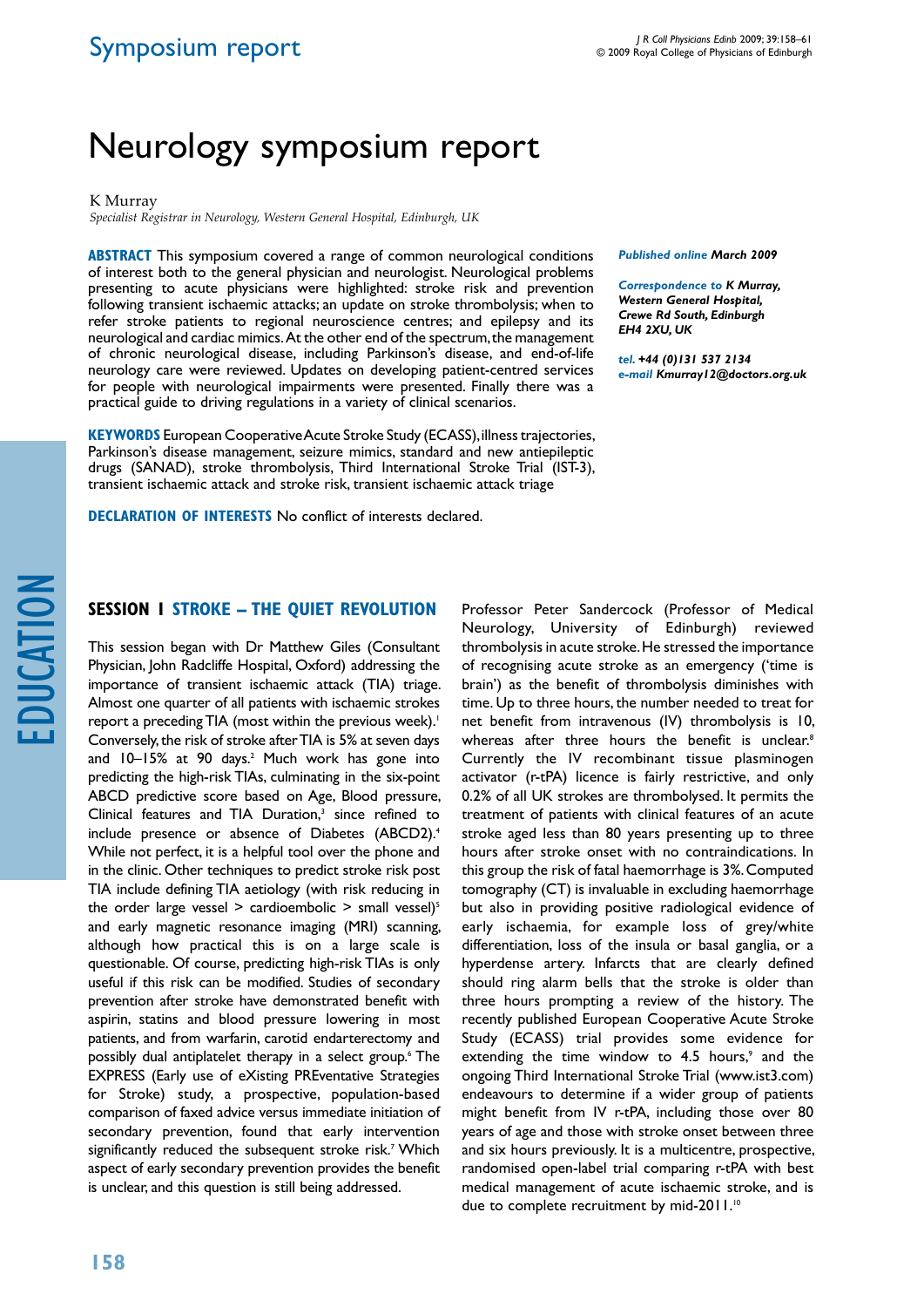# Symposium report

# Neurology symposium report

K Murray

*Specialist Registrar in Neurology, Western General Hospital, Edinburgh, UK*

**ABSTRACT** This symposium covered a range of common neurological conditions of interest both to the general physician and neurologist. Neurological problems presenting to acute physicians were highlighted: stroke risk and prevention following transient ischaemic attacks; an update on stroke thrombolysis; when to refer stroke patients to regional neuroscience centres; and epilepsy and its neurological and cardiac mimics. At the other end of the spectrum, the management of chronic neurological disease, including Parkinson's disease, and end-of-life neurology care were reviewed. Updates on developing patient-centred services for people with neurological impairments were presented. Finally there was a practical guide to driving regulations in a variety of clinical scenarios.

**Keywords** European Cooperative Acute Stroke Study (ECASS), illness trajectories, Parkinson's disease management, seizure mimics, standard and new antiepileptic drugs (SANAD), stroke thrombolysis, Third International Stroke Trial (IST-3), transient ischaemic attack and stroke risk, transient ischaemic attack triage

**DECLARATION OF INTERESTS** No conflict of interests declared.

*Published online March 2009* 

*Correspondence to K Murray, Western General Hospital, Crewe Rd South, Edinburgh EH4 2XU, UK*

*tel. +44 (0)131 537 2134 e-mail Kmurray12@doctors.org.uk*

## **Session 1 Stroke – The quiet revolution**

This session began with Dr Matthew Giles (Consultant Physician, John Radcliffe Hospital, Oxford) addressing the importance of transient ischaemic attack (TIA) triage. Almost one quarter of all patients with ischaemic strokes report a preceding TIA (most within the previous week).<sup>1</sup> Conversely, the risk of stroke after TIA is 5% at seven days and 10–15% at 90 days.<sup>2</sup> Much work has gone into predicting the high-risk TIAs, culminating in the six-point ABCD predictive score based on Age, Blood pressure, Clinical features and TIA Duration,<sup>3</sup> since refined to include presence or absence of Diabetes (ABCD2).<sup>4</sup> While not perfect, it is a helpful tool over the phone and in the clinic. Other techniques to predict stroke risk post TIA include defining TIA aetiology (with risk reducing in the order large vessel  $>$  cardioembolic  $>$  small vessel)<sup>5</sup> and early magnetic resonance imaging (MRI) scanning, although how practical this is on a large scale is questionable. Of course, predicting high-risk TIAs is only useful if this risk can be modified. Studies of secondary prevention after stroke have demonstrated benefit with aspirin, statins and blood pressure lowering in most patients, and from warfarin, carotid endarterectomy and possibly dual antiplatelet therapy in a select group.6 The EXPRESS (Early use of eXisting PREventative Strategies for Stroke) study, a prospective, population-based comparison of faxed advice versus immediate initiation of secondary prevention, found that early intervention significantly reduced the subsequent stroke risk.7 Which aspect of early secondary prevention provides the benefit is unclear, and this question is still being addressed.

Professor Peter Sandercock (Professor of Medical Neurology, University of Edinburgh) reviewed thrombolysis in acute stroke. He stressed the importance of recognising acute stroke as an emergency ('time is brain') as the benefit of thrombolysis diminishes with time. Up to three hours, the number needed to treat for net benefit from intravenous (IV) thrombolysis is 10, whereas after three hours the benefit is unclear.<sup>8</sup> Currently the IV recombinant tissue plasminogen activator (r-tPA) licence is fairly restrictive, and only 0.2% of all UK strokes are thrombolysed. It permits the treatment of patients with clinical features of an acute stroke aged less than 80 years presenting up to three hours after stroke onset with no contraindications. In this group the risk of fatal haemorrhage is 3%. Computed tomography (CT) is invaluable in excluding haemorrhage but also in providing positive radiological evidence of early ischaemia, for example loss of grey/white differentiation, loss of the insula or basal ganglia, or a hyperdense artery. Infarcts that are clearly defined should ring alarm bells that the stroke is older than three hours prompting a review of the history. The recently published European Cooperative Acute Stroke Study (ECASS) trial provides some evidence for extending the time window to  $4.5$  hours,<sup>9</sup> and the ongoing Third International Stroke Trial (www.ist3.com) endeavours to determine if a wider group of patients might benefit from IV r-tPA, including those over 80 years of age and those with stroke onset between three and six hours previously. It is a multicentre, prospective, randomised open-label trial comparing r-tPA with best medical management of acute ischaemic stroke, and is due to complete recruitment by mid-2011.<sup>10</sup>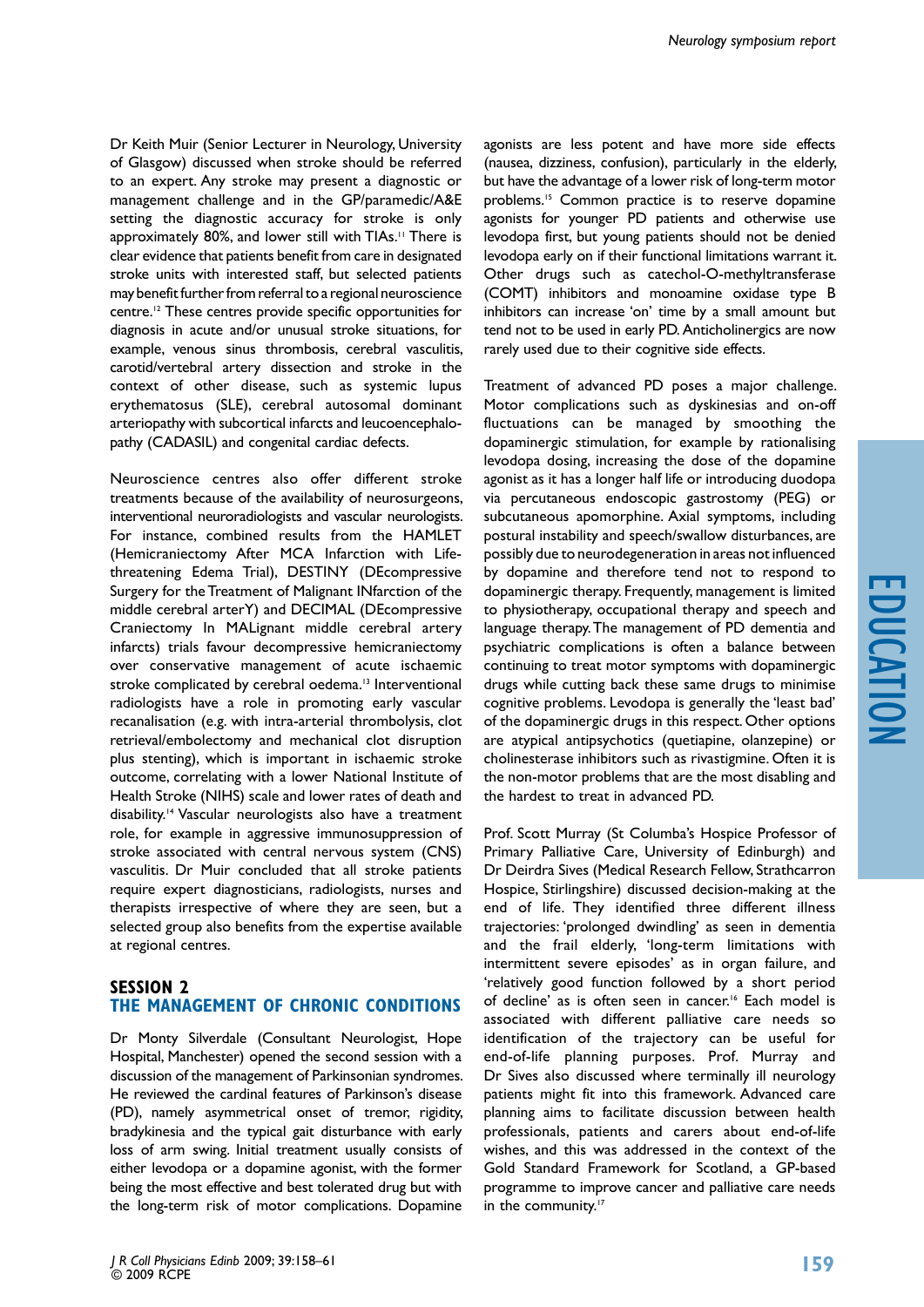Dr Keith Muir (Senior Lecturer in Neurology, University of Glasgow) discussed when stroke should be referred to an expert. Any stroke may present a diagnostic or management challenge and in the GP/paramedic/A&E setting the diagnostic accuracy for stroke is only approximately 80%, and lower still with TIAs.<sup>11</sup> There is clear evidence that patients benefit from care in designated stroke units with interested staff, but selected patients may benefit further from referral to a regional neuroscience centre.12 These centres provide specific opportunities for diagnosis in acute and/or unusual stroke situations, for example, venous sinus thrombosis, cerebral vasculitis, carotid/vertebral artery dissection and stroke in the context of other disease, such as systemic lupus erythematosus (SLE), cerebral autosomal dominant arteriopathy with subcortical infarcts and leucoencephalopathy (CADASIL) and congenital cardiac defects.

Neuroscience centres also offer different stroke treatments because of the availability of neurosurgeons, interventional neuroradiologists and vascular neurologists. For instance, combined results from the HAMLET (Hemicraniectomy After MCA Infarction with Lifethreatening Edema Trial), DESTINY (DEcompressive Surgery for the Treatment of Malignant INfarction of the middle cerebral arterY) and DECIMAL (DEcompressive Craniectomy In MALignant middle cerebral artery infarcts) trials favour decompressive hemicraniectomy over conservative management of acute ischaemic stroke complicated by cerebral oedema.<sup>13</sup> Interventional radiologists have a role in promoting early vascular recanalisation (e.g. with intra-arterial thrombolysis, clot retrieval/embolectomy and mechanical clot disruption plus stenting), which is important in ischaemic stroke outcome, correlating with a lower National Institute of Health Stroke (NIHS) scale and lower rates of death and disability.14 Vascular neurologists also have a treatment role, for example in aggressive immunosuppression of stroke associated with central nervous system (CNS) vasculitis. Dr Muir concluded that all stroke patients require expert diagnosticians, radiologists, nurses and therapists irrespective of where they are seen, but a selected group also benefits from the expertise available at regional centres.

# **Session 2 THe management of chronic conditions**

Dr Monty Silverdale (Consultant Neurologist, Hope Hospital, Manchester) opened the second session with a discussion of the management of Parkinsonian syndromes. He reviewed the cardinal features of Parkinson's disease (PD), namely asymmetrical onset of tremor, rigidity, bradykinesia and the typical gait disturbance with early loss of arm swing. Initial treatment usually consists of either levodopa or a dopamine agonist, with the former being the most effective and best tolerated drug but with the long-term risk of motor complications. Dopamine

agonists are less potent and have more side effects (nausea, dizziness, confusion), particularly in the elderly, but have the advantage of a lower risk of long-term motor problems.15 Common practice is to reserve dopamine agonists for younger PD patients and otherwise use levodopa first, but young patients should not be denied levodopa early on if their functional limitations warrant it. Other drugs such as catechol-O-methyltransferase (COMT) inhibitors and monoamine oxidase type B inhibitors can increase 'on' time by a small amount but tend not to be used in early PD. Anticholinergics are now rarely used due to their cognitive side effects.

Treatment of advanced PD poses a major challenge. Motor complications such as dyskinesias and on-off fluctuations can be managed by smoothing the dopaminergic stimulation, for example by rationalising levodopa dosing, increasing the dose of the dopamine agonist as it has a longer half life or introducing duodopa via percutaneous endoscopic gastrostomy (PEG) or subcutaneous apomorphine. Axial symptoms, including postural instability and speech/swallow disturbances, are possibly due to neurodegeneration in areas not influenced by dopamine and therefore tend not to respond to dopaminergic therapy. Frequently, management is limited to physiotherapy, occupational therapy and speech and language therapy. The management of PD dementia and psychiatric complications is often a balance between continuing to treat motor symptoms with dopaminergic drugs while cutting back these same drugs to minimise cognitive problems. Levodopa is generally the 'least bad' of the dopaminergic drugs in this respect. Other options are atypical antipsychotics (quetiapine, olanzepine) or cholinesterase inhibitors such as rivastigmine. Often it is the non-motor problems that are the most disabling and the hardest to treat in advanced PD.

Prof. Scott Murray (St Columba's Hospice Professor of Primary Palliative Care, University of Edinburgh) and Dr Deirdra Sives (Medical Research Fellow, Strathcarron Hospice, Stirlingshire) discussed decision-making at the end of life. They identified three different illness trajectories: 'prolonged dwindling' as seen in dementia and the frail elderly, 'long-term limitations with intermittent severe episodes' as in organ failure, and 'relatively good function followed by a short period of decline' as is often seen in cancer.<sup>16</sup> Each model is associated with different palliative care needs so identification of the trajectory can be useful for end-of-life planning purposes. Prof. Murray and Dr Sives also discussed where terminally ill neurology patients might fit into this framework. Advanced care planning aims to facilitate discussion between health professionals, patients and carers about end-of-life wishes, and this was addressed in the context of the Gold Standard Framework for Scotland, a GP-based programme to improve cancer and palliative care needs in the community.<sup>17</sup>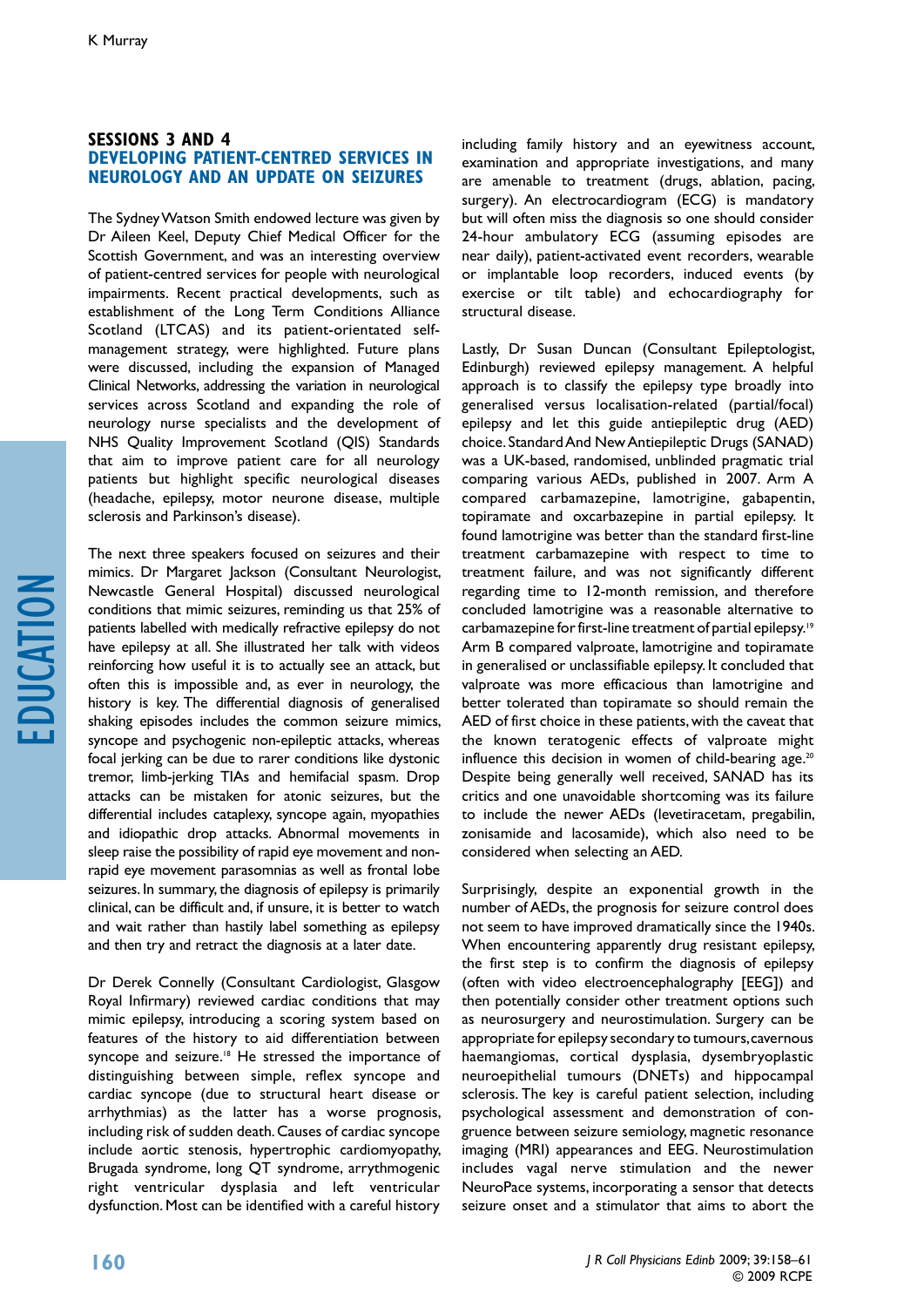### **Sessions 3 and 4 Developing patient-centred services in neurology and an update on seizures**

The Sydney Watson Smith endowed lecture was given by Dr Aileen Keel, Deputy Chief Medical Officer for the Scottish Government, and was an interesting overview of patient-centred services for people with neurological impairments. Recent practical developments, such as establishment of the Long Term Conditions Alliance Scotland (LTCAS) and its patient-orientated selfmanagement strategy, were highlighted. Future plans were discussed, including the expansion of Managed Clinical Networks, addressing the variation in neurological services across Scotland and expanding the role of neurology nurse specialists and the development of NHS Quality Improvement Scotland (QIS) Standards that aim to improve patient care for all neurology patients but highlight specific neurological diseases (headache, epilepsy, motor neurone disease, multiple sclerosis and Parkinson's disease).

The next three speakers focused on seizures and their mimics. Dr Margaret Jackson (Consultant Neurologist, Newcastle General Hospital) discussed neurological conditions that mimic seizures, reminding us that 25% of patients labelled with medically refractive epilepsy do not have epilepsy at all. She illustrated her talk with videos reinforcing how useful it is to actually see an attack, but often this is impossible and, as ever in neurology, the history is key. The differential diagnosis of generalised shaking episodes includes the common seizure mimics, syncope and psychogenic non-epileptic attacks, whereas focal jerking can be due to rarer conditions like dystonic tremor, limb-jerking TIAs and hemifacial spasm. Drop attacks can be mistaken for atonic seizures, but the differential includes cataplexy, syncope again, myopathies and idiopathic drop attacks. Abnormal movements in sleep raise the possibility of rapid eye movement and nonrapid eye movement parasomnias as well as frontal lobe seizures. In summary, the diagnosis of epilepsy is primarily clinical, can be difficult and, if unsure, it is better to watch and wait rather than hastily label something as epilepsy and then try and retract the diagnosis at a later date.

Dr Derek Connelly (Consultant Cardiologist, Glasgow Royal Infirmary) reviewed cardiac conditions that may mimic epilepsy, introducing a scoring system based on features of the history to aid differentiation between syncope and seizure.<sup>18</sup> He stressed the importance of distinguishing between simple, reflex syncope and cardiac syncope (due to structural heart disease or arrhythmias) as the latter has a worse prognosis, including risk of sudden death. Causes of cardiac syncope include aortic stenosis, hypertrophic cardiomyopathy, Brugada syndrome, long QT syndrome, arrythmogenic right ventricular dysplasia and left ventricular dysfunction. Most can be identified with a careful history

including family history and an eyewitness account, examination and appropriate investigations, and many are amenable to treatment (drugs, ablation, pacing, surgery). An electrocardiogram (ECG) is mandatory but will often miss the diagnosis so one should consider 24-hour ambulatory ECG (assuming episodes are near daily), patient-activated event recorders, wearable or implantable loop recorders, induced events (by exercise or tilt table) and echocardiography for structural disease.

Lastly, Dr Susan Duncan (Consultant Epileptologist, Edinburgh) reviewed epilepsy management. A helpful approach is to classify the epilepsy type broadly into generalised versus localisation-related (partial/focal) epilepsy and let this guide antiepileptic drug (AED) choice. Standard And New Antiepileptic Drugs (SANAD) was a UK-based, randomised, unblinded pragmatic trial comparing various AEDs, published in 2007. Arm A compared carbamazepine, lamotrigine, gabapentin, topiramate and oxcarbazepine in partial epilepsy. It found lamotrigine was better than the standard first-line treatment carbamazepine with respect to time to treatment failure, and was not significantly different regarding time to 12-month remission, and therefore concluded lamotrigine was a reasonable alternative to carbamazepine for first-line treatment of partial epilepsy.19 Arm B compared valproate, lamotrigine and topiramate in generalised or unclassifiable epilepsy. It concluded that valproate was more efficacious than lamotrigine and better tolerated than topiramate so should remain the AED of first choice in these patients, with the caveat that the known teratogenic effects of valproate might influence this decision in women of child-bearing age.<sup>20</sup> Despite being generally well received, SANAD has its critics and one unavoidable shortcoming was its failure to include the newer AEDs (levetiracetam, pregabilin, zonisamide and lacosamide), which also need to be considered when selecting an AED.

Surprisingly, despite an exponential growth in the number of AEDs, the prognosis for seizure control does not seem to have improved dramatically since the 1940s. When encountering apparently drug resistant epilepsy, the first step is to confirm the diagnosis of epilepsy (often with video electroencephalography [EEG]) and then potentially consider other treatment options such as neurosurgery and neurostimulation. Surgery can be appropriate for epilepsy secondary to tumours, cavernous haemangiomas, cortical dysplasia, dysembryoplastic neuroepithelial tumours (DNETs) and hippocampal sclerosis. The key is careful patient selection, including psychological assessment and demonstration of congruence between seizure semiology, magnetic resonance imaging (MRI) appearances and EEG. Neurostimulation includes vagal nerve stimulation and the newer NeuroPace systems, incorporating a sensor that detects seizure onset and a stimulator that aims to abort the